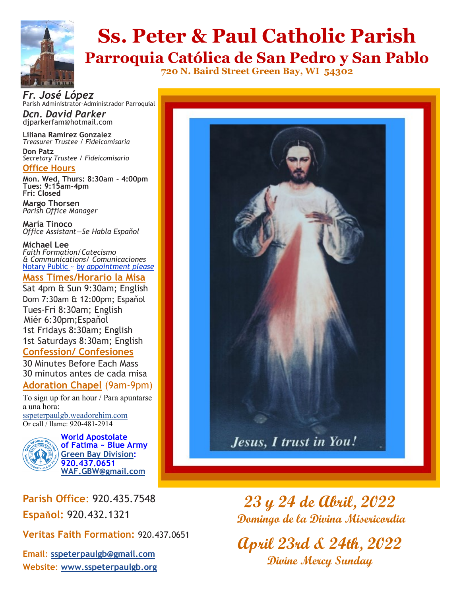

# **Ss. Peter & Paul Catholic Parish**

**Parroquia Católica de San Pedro y San Pablo 720 N. Baird Street Green Bay, WI 54302**

*Fr. José López* Parish Administrator-Administrador Parroquial

*Dcn. David Parker* djparkerfam@hotmail.com

**Liliana Ramirez Gonzalez** *Treasurer Trustee / Fideicomisaria* **Don Patz** *Secretary Trustee / Fideicomisario*

#### **Office Hours**

**Mon. Wed, Thurs: 8:30am - 4:00pm Tues: 9:15am-4pm***)* **Fri: Closed** 

**Margo Thorsen** *Parish Office Manager* 

**María Tinoco** *Office Assistant—Se Habla Espaňol*

**Michael Lee**  *Faith Formation/Catecismo & Communications/ Comunicaciones* Notary Public ~ *by appointment please*

#### **Mass Times/Horario la Misa**

Sat 4pm & Sun 9:30am; English Dom 7:30am & 12:00pm; Espaňol Tues-Fri 8:30am; English Miér 6:30pm;Espaňol 1st Fridays 8:30am; English 1st Saturdays 8:30am; English

#### **Confession/ Confesiones**

30 Minutes Before Each Mass 30 minutos antes de cada misa

#### **Adoration Chapel** (9am-9pm)

To sign up for an hour / Para apuntarse a una hora: [sspeterpaulgb.weadorehim.com](https://sspeterpaulgb.weadorehim.com/) Or call / llame: 920-481-2914



**World Apostolate of Fatima ~ Blue Army [Green Bay Division:](http://www.sspeterpaulgb.org/subpages.php?CLID=10906) 920.437.0651 [WAF.GBW@gmail.com](mailto:WAF.GBW@gmail.com)**

**Parish Office**: 920.435.7548 **Espaňol:** 920.432.1321

**Veritas Faith Formation:** 920.437.0651

**Email**: **[sspeterpaulgb@gmail.com](mailto:sspeterpaulgb@gmail.com) Website**: **[www.sspeterpaulgb.org](http://www.sspeterpaulgb.org)**



**23 y 24 de Abril, 2022 Domingo de la Divina Misericordia**

**April 23rd & 24th, 2022 Divine Mercy Sunday**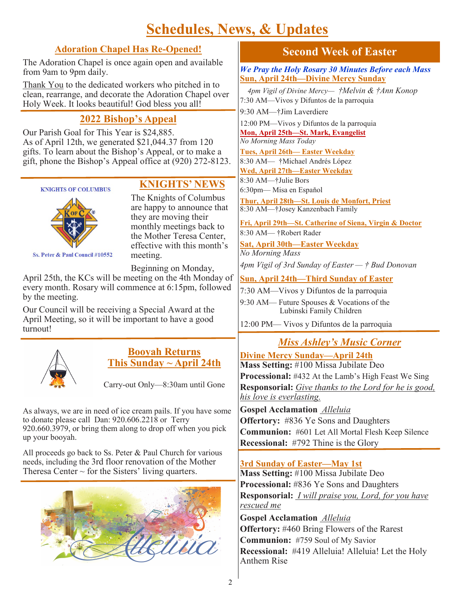# **Schedules, News, & Updates**

#### **Adoration Chapel Has Re-Opened!**

The Adoration Chapel is once again open and available from 9am to 9pm daily.

Thank You to the dedicated workers who pitched in to clean, rearrange, and decorate the Adoration Chapel over Holy Week. It looks beautiful! God bless you all!

### **2022 Bishop's Appeal**

Our Parish Goal for This Year is \$24,885. As of April 12th, we generated \$21,044.37 from 120 gifts. To learn about the Bishop's Appeal, or to make a gift, phone the Bishop's Appeal office at (920) 272-8123.



Ss. Peter & Paul Council #10552

#### **KNIGHTS' NEWS**

The Knights of Columbus are happy to announce that they are moving their monthly meetings back to the Mother Teresa Center, effective with this month's meeting.

Beginning on Monday,

April 25th, the KCs will be meeting on the 4th Monday of every month. Rosary will commence at 6:15pm, followed by the meeting.

Our Council will be receiving a Special Award at the April Meeting, so it will be important to have a good turnout!



#### **Booyah Returns This Sunday ~ April 24th**

Carry-out Only—8:30am until Gone

As always, we are in need of ice cream pails. If you have some to donate please call Dan: 920.606.2218 or Terry 920.660.3979, or bring them along to drop off when you pick up your booyah.

All proceeds go back to Ss. Peter & Paul Church for various needs, including the 3rd floor renovation of the Mother Theresa Center  $\sim$  for the Sisters' living quarters.



#### **Second Week of Easter**

*We Pray the Holy Rosary 30 Minutes Before each Mass* **Sun, April 24th—Divine Mercy Sunday**

 *4pm Vigil of Divine Mercy— †Melvin & †Ann Konop* 7:30 AM—Vivos y Difuntos de la parroquia

9:30 AM—†Jim Laverdiere

12:00 PM—Vivos y Difuntos de la parroquia **Mon, April 25th—St. Mark, Evangelist**

*No Morning Mass Today*

**Tues, April 26th— Easter Weekday** 8:30 AM— †Michael Andrés López **Wed, April 27th—Easter Weekday**

8:30 AM—†Julie Bors

6:30pm— Misa en Espaňol

**Thur, April 28th—St. Louis de Monfort, Priest**  8:30 AM—†Josey Kanzenbach Family

**Fri, April 29th—St. Catherine of Siena, Virgin & Doctor** 8:30 AM— †Robert Rader

**Sat, April 30th—Easter Weekday** *No Morning Mass*

*4pm Vigil of 3rd Sunday of Easter — † Bud Donovan*

**Sun, April 24th—Third Sunday of Easter**

7:30 AM—Vivos y Difuntos de la parroquia

9:30 AM— Future Spouses & Vocations of the Lubinski Family Children

12:00 PM— Vivos y Difuntos de la parroquia

## *Miss Ashley's Music Corner*

**Divine Mercy Sunday—April 24th Mass Setting:** #100 Missa Jubilate Deo **Processional:** #432 At the Lamb's High Feast We Sing **Responsorial:** *Give thanks to the Lord for he is good, his love is everlasting.* 

**Gospel Acclamation** *Alleluia*  **Offertory:** #836 Ye Sons and Daughters **Communion:** #601 Let All Mortal Flesh Keep Silence **Recessional:** #792 Thine is the Glory

#### **3rd Sunday of Easter—May 1st**

**Mass Setting:** #100 Missa Jubilate Deo **Processional:** #836 Ye Sons and Daughters **Responsorial:** *I will praise you, Lord, for you have rescued me*

**Gospel Acclamation** *Alleluia*  **Offertory:** #460 Bring Flowers of the Rarest **Communion:** #759 Soul of My Savior **Recessional:** #419 Alleluia! Alleluia! Let the Holy Anthem Rise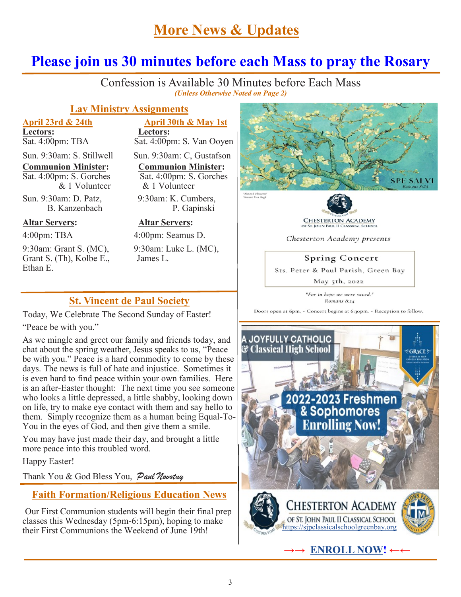# **More News & Updates**

#### **Please join us 30 minutes before each Mass to pray the Rosary** í

Confession is Available 30 Minutes before Each Mass *(Unless Otherwise Noted on Page 2)*

#### **Lay Ministry Assignments**

**Lectors:**<br>Sat. 4:00pm: TBA <br>Sat. 4:00pm

Sat. 4:00pm: S. Gorches

Sun. 9:30am: D. Patz, 9:30am: K. Cumbers,

#### **Altar Servers: Altar Servers:**

9:30am: Grant S. (MC), 9:30am: Luke L. (MC), Grant S. (Th), Kolbe E., James L. Ethan E.

**April 23rd & 24th April 30th & May 1st**  $Sat. 4:00$ pm: S. Van Ooyen

Sun. 9:30am: S. Stillwell Sun. 9:30am: C. Gustafson

**Communion Minister:**<br>Sat. 4:00pm: S. Gorches<br>Sat. 4:00pm: S. Gorches & 1 Volunteer & 1 Volunteer

B. Kanzenbach P. Gapinski

4:00pm: TBA 4:00pm: Seamus D.

#### **St. Vincent de Paul Society**

Today, We Celebrate The Second Sunday of Easter!

"Peace be with you."

As we mingle and greet our family and friends today, and chat about the spring weather, Jesus speaks to us, "Peace be with you." Peace is a hard commodity to come by these days. The news is full of hate and injustice. Sometimes it is even hard to find peace within your own families. Here is an after-Easter thought: The next time you see someone who looks a little depressed, a little shabby, looking down on life, try to make eye contact with them and say hello to them. Simply recognize them as a human being Equal-To-You in the eyes of God, and then give them a smile.

You may have just made their day, and brought a little more peace into this troubled word.

Happy Easter!

Thank You & God Bless You, Paul Novotny

#### **Faith Formation/Religious Education News**

Our First Communion students will begin their final prep classes this Wednesday (5pm-6:15pm), hoping to make their First Communions the Weekend of June 19th!





OF ST. JOHN PAUL II CLASSICAL SCHOOL

Chesterton Academy presents

#### **Spring Concert**

Sts. Peter & Paul Parish, Green Bay

May 5th, 2022

"For in hope we were saved." Romans 8:24

Doors open at 6pm. - Concert begins at 6:30pm. - Reception to follow.



**→→ [ENROLL NOW!](https://mytads.com/a/stjohnpauliiclassical?fbclid=IwAR0m1W0twv5d91HNre_AY-WeO5nteswH9GFfwT-3wr5u_SW3_j5T_fwyTYQ) ←←**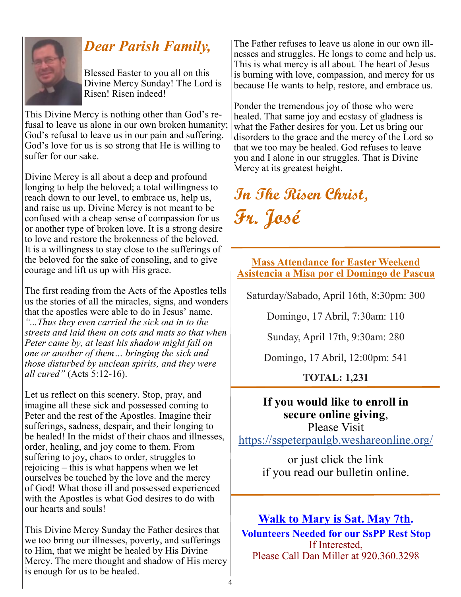

# *Dear Parish Family,*

Blessed Easter to you all on this Divine Mercy Sunday! The Lord is Risen! Risen indeed!

This Divine Mercy is nothing other than God's refusal to leave us alone in our own broken humanity; God's refusal to leave us in our pain and suffering. God's love for us is so strong that He is willing to suffer for our sake.

Divine Mercy is all about a deep and profound longing to help the beloved; a total willingness to reach down to our level, to embrace us, help us, and raise us up. Divine Mercy is not meant to be confused with a cheap sense of compassion for us or another type of broken love. It is a strong desire to love and restore the brokenness of the beloved. It is a willingness to stay close to the sufferings of the beloved for the sake of consoling, and to give courage and lift us up with His grace.

The first reading from the Acts of the Apostles tells us the stories of all the miracles, signs, and wonders that the apostles were able to do in Jesus' name. *"...Thus they even carried the sick out in to the streets and laid them on cots and mats so that when Peter came by, at least his shadow might fall on one or another of them… bringing the sick and those disturbed by unclean spirits, and they were all cured"* (Acts 5:12-16).

Let us reflect on this scenery. Stop, pray, and imagine all these sick and possessed coming to Peter and the rest of the Apostles. Imagine their sufferings, sadness, despair, and their longing to be healed! In the midst of their chaos and illnesses, order, healing, and joy come to them. From suffering to joy, chaos to order, struggles to rejoicing – this is what happens when we let ourselves be touched by the love and the mercy of God! What those ill and possessed experienced with the Apostles is what God desires to do with our hearts and souls!

This Divine Mercy Sunday the Father desires that we too bring our illnesses, poverty, and sufferings to Him, that we might be healed by His Divine Mercy. The mere thought and shadow of His mercy is enough for us to be healed.

The Father refuses to leave us alone in our own illnesses and struggles. He longs to come and help us. This is what mercy is all about. The heart of Jesus is burning with love, compassion, and mercy for us because He wants to help, restore, and embrace us.

Ponder the tremendous joy of those who were healed. That same joy and ecstasy of gladness is what the Father desires for you. Let us bring our disorders to the grace and the mercy of the Lord so that we too may be healed. God refuses to leave you and I alone in our struggles. That is Divine Mercy at its greatest height.

# **In The Risen Christ, Fr. José**

**Mass Attendance for Easter Weekend Asistencia a Misa por el Domingo de Pascua**

Saturday/Sabado, April 16th, 8:30pm: 300

Domingo, 17 Abril, 7:30am: 110

Sunday, April 17th, 9:30am: 280

Domingo, 17 Abril, 12:00pm: 541

**TOTAL: 1,231**

## **If you would like to enroll in secure online giving**,

Please Visit <https://sspeterpaulgb.weshareonline.org/>

> or just click the link if you read our bulletin online.

# **Walk to Mary is Sat. May 7th.**

**Volunteers Needed for our SsPP Rest Stop** If Interested, Please Call Dan Miller at 920.360.3298

4